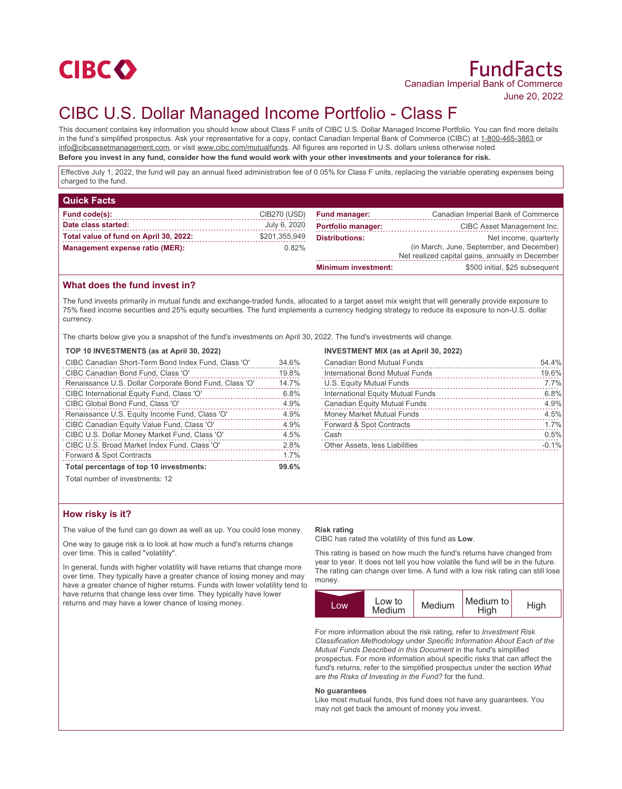

June 20, 2022

# CIBC U.S. Dollar Managed Income Portfolio - Class F

This document contains key information you should know about Class F units of CIBC U.S. Dollar Managed Income Portfolio. You can find more details in the fund's simplified prospectus. Ask your representative for a copy, contact Canadian Imperial Bank of Commerce (CIBC) at 1-800-465-3863 or info@cibcassetmanagement.com, or visit www.cibc.com/mutualfunds. All figures are reported in U.S. dollars unless otherwise noted. **Before you invest in any fund, consider how the fund would work with your other investments and your tolerance for risk.**

Effective July 1, 2022, the fund will pay an annual fixed administration fee of 0.05% for Class F units, replacing the variable operating expenses being charged to the fund.

| <b>Quick Facts</b>                     |               |                            |                                                  |
|----------------------------------------|---------------|----------------------------|--------------------------------------------------|
| Fund code(s):                          | CIB270 (USD)  | <b>Fund manager:</b>       | Canadian Imperial Bank of Commerce               |
| Date class started:                    | July 6, 2020  | <b>Portfolio manager:</b>  | CIBC Asset Management Inc.                       |
| Total value of fund on April 30, 2022: | \$201,355,949 | <b>Distributions:</b>      | Net income, quarterly                            |
| Management expense ratio (MER):        | $0.82\%$      |                            | (in March, June, September, and December)        |
|                                        |               |                            | Net realized capital gains, annually in December |
|                                        |               | <b>Minimum investment:</b> | \$500 initial, \$25 subsequent                   |

## **What does the fund invest in?**

The fund invests primarily in mutual funds and exchange-traded funds, allocated to a target asset mix weight that will generally provide exposure to 75% fixed income securities and 25% equity securities. The fund implements a currency hedging strategy to reduce its exposure to non-U.S. dollar currency.

The charts below give you a snapshot of the fund's investments on April 30, 2022. The fund's investments will change.

#### **TOP 10 INVESTMENTS (as at April 30, 2022)**

| CIBC Canadian Short-Term Bond Index Fund, Class 'O'    | 34.6% |
|--------------------------------------------------------|-------|
| CIBC Canadian Bond Fund, Class 'O'                     | 19.8% |
| Renaissance U.S. Dollar Corporate Bond Fund, Class 'O' | 14.7% |
| CIBC International Equity Fund, Class 'O'              | 6.8%  |
| CIBC Global Bond Fund, Class 'O'                       | 4.9%  |
| Renaissance U.S. Equity Income Fund, Class 'O'         | 4.9%  |
| CIBC Canadian Equity Value Fund, Class 'O'             | 4.9%  |
| CIBC U.S. Dollar Money Market Fund, Class 'O'          | 4.5%  |
| CIBC U.S. Broad Market Index Fund, Class 'O'           | 2.8%  |
| Forward & Spot Contracts                               | 1.7%  |
| Total percentage of top 10 investments:                | 99.6% |
| Total number of investments: 12                        |       |

#### **INVESTMENT MIX (as at April 30, 2022)**

| <b>Canadian Bond Mutual Funds</b>     | 54.4%   |
|---------------------------------------|---------|
| International Bond Mutual Funds       | 19.6%   |
| U.S. Equity Mutual Funds              | 7.7%    |
| International Equity Mutual Funds     | 6.8%    |
| <b>Canadian Equity Mutual Funds</b>   | 4.9%    |
| Money Market Mutual Funds             | 4.5%    |
| Forward & Spot Contracts              | 1.7%    |
| Cash                                  | 0.5%    |
| <b>Other Assets, less Liabilities</b> | $-0.1%$ |
|                                       |         |

**How risky is it?**

The value of the fund can go down as well as up. You could lose money.

One way to gauge risk is to look at how much a fund's returns change over time. This is called "volatility".

In general, funds with higher volatility will have returns that change more over time. They typically have a greater chance of losing money and may have a greater chance of higher returns. Funds with lower volatility tend to have returns that change less over time. They typically have lower returns and may have a lower chance of losing money.

#### **Risk rating**

CIBC has rated the volatility of this fund as **Low**.

This rating is based on how much the fund's returns have changed from year to year. It does not tell you how volatile the fund will be in the future. The rating can change over time. A fund with a low risk rating can still lose money.

| Low to<br>LOW<br>Medium | Medium | Medium to<br>High | High |
|-------------------------|--------|-------------------|------|
|-------------------------|--------|-------------------|------|

For more information about the risk rating, refer to *Investment Risk Classification Methodology* under *Specific Information About Each of the Mutual Funds Described in this Document* in the fund's simplified prospectus. For more information about specific risks that can affect the fund's returns, refer to the simplified prospectus under the section *What are the Risks of Investing in the Fund?* for the fund.

#### **No guarantees**

Like most mutual funds, this fund does not have any guarantees. You may not get back the amount of money you invest.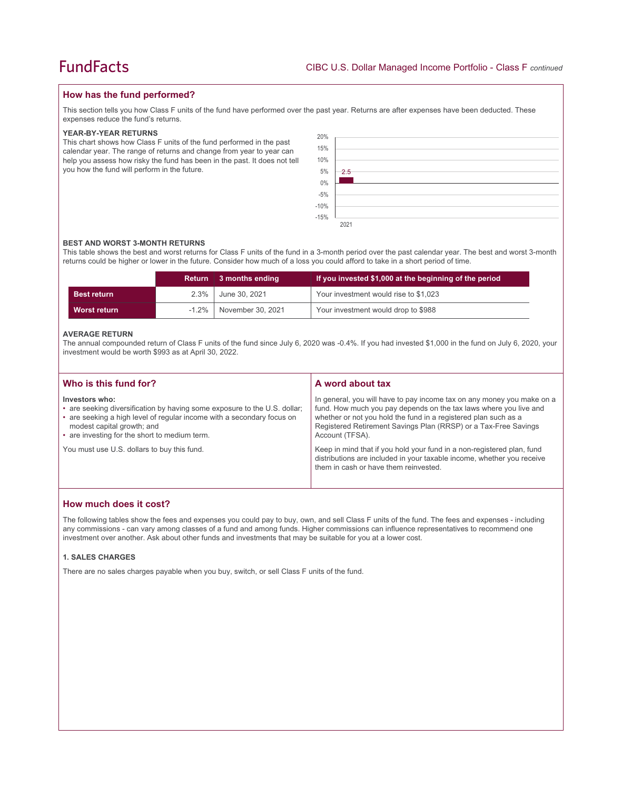## **How has the fund performed?**

This section tells you how Class F units of the fund have performed over the past year. Returns are after expenses have been deducted. These expenses reduce the fund's returns.

#### **YEAR-BY-YEAR RETURNS**

This chart shows how Class F units of the fund performed in the past calendar year. The range of returns and change from year to year can help you assess how risky the fund has been in the past. It does not tell you how the fund will perform in the future.

| 20%               |      |
|-------------------|------|
| 15%               |      |
| 10%               |      |
| 5%                | 2.5  |
| $0\%$             |      |
|                   |      |
| $-5\%$<br>$-10\%$ |      |
| $-15%$            |      |
|                   | 2021 |

#### **BEST AND WORST 3-MONTH RETURNS**

This table shows the best and worst returns for Class F units of the fund in a 3-month period over the past calendar year. The best and worst 3-month returns could be higher or lower in the future. Consider how much of a loss you could afford to take in a short period of time.

|                    | Return | $\parallel$ 3 months ending  | If you invested \$1,000 at the beginning of the period |
|--------------------|--------|------------------------------|--------------------------------------------------------|
| <b>Best return</b> | 2.3%   | June 30, 2021                | Your investment would rise to \$1,023                  |
| Worst return       |        | $-1.2\%$   November 30, 2021 | Your investment would drop to \$988                    |

#### **AVERAGE RETURN**

The annual compounded return of Class F units of the fund since July 6, 2020 was -0.4%. If you had invested \$1,000 in the fund on July 6, 2020, your investment would be worth \$993 as at April 30, 2022.

| Who is this fund for?                                                                                                                                                                                                                                | A word about tax                                                                                                                                                                                                                                                                                     |
|------------------------------------------------------------------------------------------------------------------------------------------------------------------------------------------------------------------------------------------------------|------------------------------------------------------------------------------------------------------------------------------------------------------------------------------------------------------------------------------------------------------------------------------------------------------|
| Investors who:<br>• are seeking diversification by having some exposure to the U.S. dollar;<br>• are seeking a high level of regular income with a secondary focus on<br>modest capital growth; and<br>• are investing for the short to medium term. | In general, you will have to pay income tax on any money you make on a<br>fund. How much you pay depends on the tax laws where you live and<br>whether or not you hold the fund in a registered plan such as a<br>Registered Retirement Savings Plan (RRSP) or a Tax-Free Savings<br>Account (TFSA). |
| You must use U.S. dollars to buy this fund.                                                                                                                                                                                                          | Keep in mind that if you hold your fund in a non-registered plan, fund<br>distributions are included in your taxable income, whether you receive<br>them in cash or have them reinvested.                                                                                                            |

# **How much does it cost?**

The following tables show the fees and expenses you could pay to buy, own, and sell Class F units of the fund. The fees and expenses - including any commissions - can vary among classes of a fund and among funds. Higher commissions can influence representatives to recommend one investment over another. Ask about other funds and investments that may be suitable for you at a lower cost.

#### **1. SALES CHARGES**

There are no sales charges payable when you buy, switch, or sell Class F units of the fund.